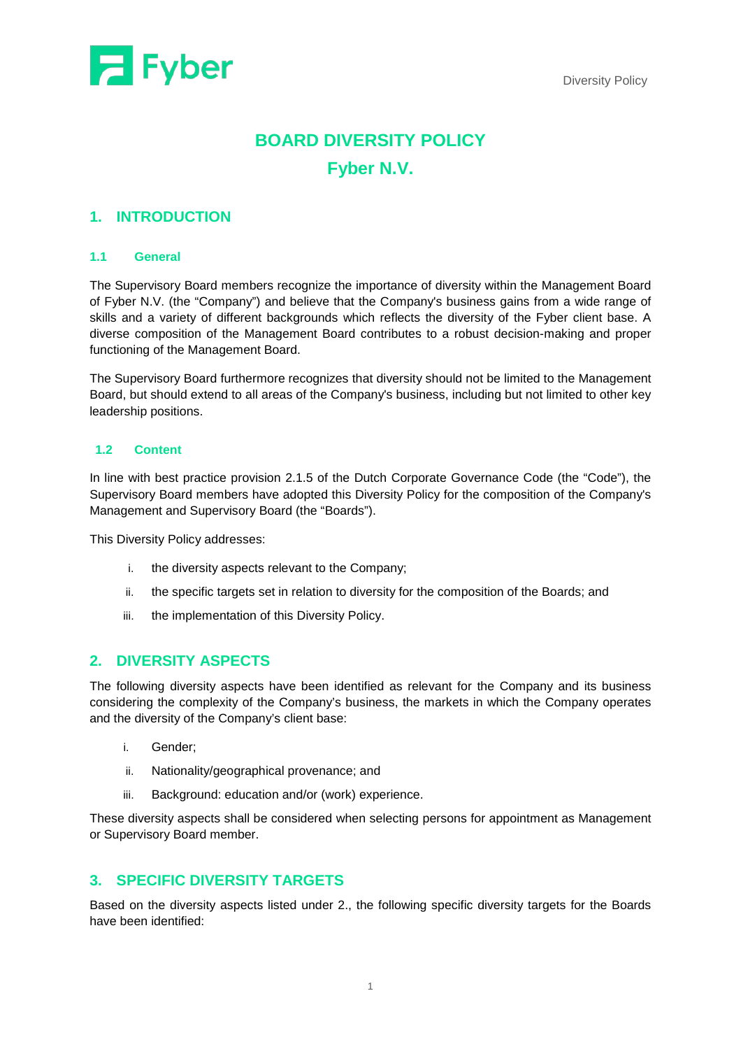

# **BOARD DIVERSITY POLICY Fyber N.V.**

### **1. INTRODUCTION**

### **1.1 General**

The Supervisory Board members recognize the importance of diversity within the Management Board of Fyber N.V. (the "Company") and believe that the Company's business gains from a wide range of skills and a variety of different backgrounds which reflects the diversity of the Fyber client base. A diverse composition of the Management Board contributes to a robust decision-making and proper functioning of the Management Board.

The Supervisory Board furthermore recognizes that diversity should not be limited to the Management Board, but should extend to all areas of the Company's business, including but not limited to other key leadership positions.

### **1.2 Content**

In line with best practice provision 2.1.5 of the Dutch Corporate Governance Code (the "Code"), the Supervisory Board members have adopted this Diversity Policy for the composition of the Company's Management and Supervisory Board (the "Boards").

This Diversity Policy addresses:

- i. the diversity aspects relevant to the Company;
- ii. the specific targets set in relation to diversity for the composition of the Boards; and
- iii. the implementation of this Diversity Policy.

### **2. DIVERSITY ASPECTS**

The following diversity aspects have been identified as relevant for the Company and its business considering the complexity of the Company's business, the markets in which the Company operates and the diversity of the Company's client base:

- i. Gender;
- ii. Nationality/geographical provenance; and
- iii. Background: education and/or (work) experience.

These diversity aspects shall be considered when selecting persons for appointment as Management or Supervisory Board member.

## **3. SPECIFIC DIVERSITY TARGETS**

Based on the diversity aspects listed under 2., the following specific diversity targets for the Boards have been identified: